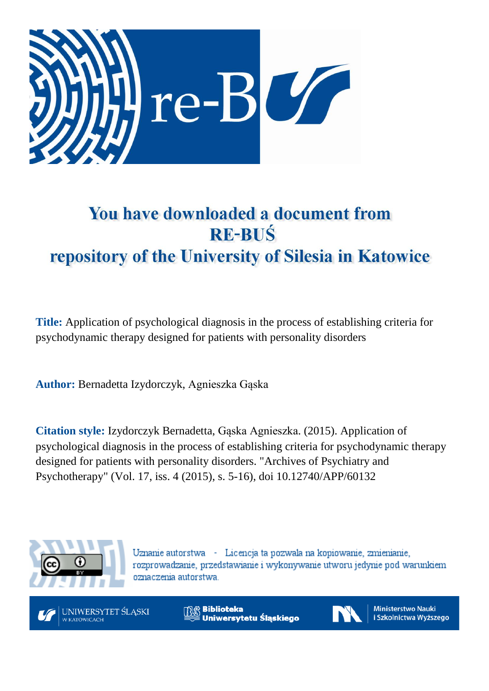

# You have downloaded a document from **RE-BUŚ** repository of the University of Silesia in Katowice

**Title:** Application of psychological diagnosis in the process of establishing criteria for psychodynamic therapy designed for patients with personality disorders

**Author:** Bernadetta Izydorczyk, Agnieszka Gąska

**Citation style:** Izydorczyk Bernadetta, Gąska Agnieszka. (2015). Application of psychological diagnosis in the process of establishing criteria for psychodynamic therapy designed for patients with personality disorders. "Archives of Psychiatry and Psychotherapy" (Vol. 17, iss. 4 (2015), s. 5-16), doi 10.12740/APP/60132



Uznanie autorstwa - Licencja ta pozwala na kopiowanie, zmienianie, rozprowadzanie, przedstawianie i wykonywanie utworu jedynie pod warunkiem oznaczenia autorstwa.



**Biblioteka** Uniwersytetu Śląskiego



**Ministerstwo Nauki** i Szkolnictwa Wyższego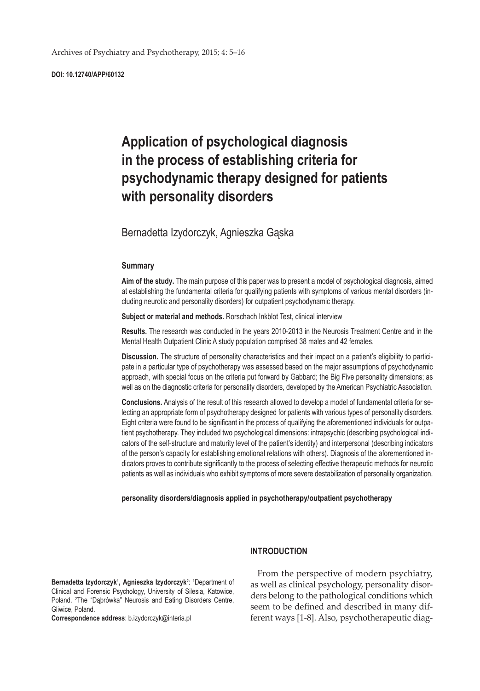**DOI: 10.12740/APP/60132**

# **Application of psychological diagnosis in the process of establishing criteria for psychodynamic therapy designed for patients with personality disorders**

## Bernadetta Izydorczyk, Agnieszka Gąska

#### **Summary**

**Aim of the study.** The main purpose of this paper was to present a model of psychological diagnosis, aimed at establishing the fundamental criteria for qualifying patients with symptoms of various mental disorders (including neurotic and personality disorders) for outpatient psychodynamic therapy.

**Subject or material and methods.** Rorschach Inkblot Test, clinical interview

**Results.** The research was conducted in the years 2010-2013 in the Neurosis Treatment Centre and in the Mental Health Outpatient Clinic A study population comprised 38 males and 42 females.

**Discussion.** The structure of personality characteristics and their impact on a patient's eligibility to participate in a particular type of psychotherapy was assessed based on the major assumptions of psychodynamic approach, with special focus on the criteria put forward by Gabbard; the Big Five personality dimensions; as well as on the diagnostic criteria for personality disorders, developed by the American Psychiatric Association.

**Conclusions.** Analysis of the result of this research allowed to develop a model of fundamental criteria for selecting an appropriate form of psychotherapy designed for patients with various types of personality disorders. Eight criteria were found to be significant in the process of qualifying the aforementioned individuals for outpatient psychotherapy. They included two psychological dimensions: intrapsychic (describing psychological indicators of the self-structure and maturity level of the patient's identity) and interpersonal (describing indicators of the person's capacity for establishing emotional relations with others). Diagnosis of the aforementioned indicators proves to contribute significantly to the process of selecting effective therapeutic methods for neurotic patients as well as individuals who exhibit symptoms of more severe destabilization of personality organization.

#### **personality disorders/diagnosis applied in psychotherapy/outpatient psychotherapy**

Bernadetta Izydorczyk<sup>1</sup>, Agnieszka Izydorczyk<sup>2</sup>: <sup>1</sup>Department of Clinical and Forensic Psychology, University of Silesia, Katowice, Poland. <sup>2</sup>The "Dąbrówka" Neurosis and Eating Disorders Centre, Gliwice, Poland.

**Correspondence address**: b.izydorczyk@interia.pl

#### **INTRODUCTION**

From the perspective of modern psychiatry, as well as clinical psychology, personality disorders belong to the pathological conditions which seem to be defined and described in many different ways [1-8]. Also, psychotherapeutic diag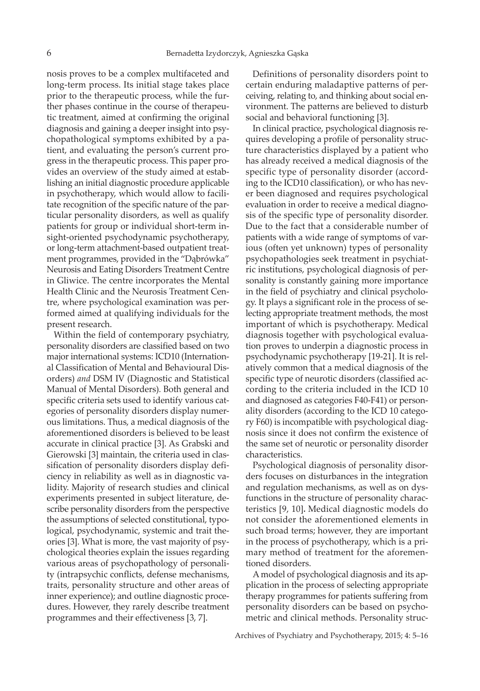nosis proves to be a complex multifaceted and long-term process. Its initial stage takes place prior to the therapeutic process, while the further phases continue in the course of therapeutic treatment, aimed at confirming the original diagnosis and gaining a deeper insight into psychopathological symptoms exhibited by a patient, and evaluating the person's current progress in the therapeutic process. This paper provides an overview of the study aimed at establishing an initial diagnostic procedure applicable in psychotherapy, which would allow to facilitate recognition of the specific nature of the particular personality disorders, as well as qualify patients for group or individual short-term insight-oriented psychodynamic psychotherapy, or long-term attachment-based outpatient treatment programmes, provided in the "Dąbrówka" Neurosis and Eating Disorders Treatment Centre in Gliwice. The centre incorporates the Mental Health Clinic and the Neurosis Treatment Centre, where psychological examination was performed aimed at qualifying individuals for the present research.

Within the field of contemporary psychiatry, personality disorders are classified based on two major international systems: ICD10 (International Classification of Mental and Behavioural Disorders) *and* DSM IV (Diagnostic and Statistical Manual of Mental Disorders)*.* Both general and specific criteria sets used to identify various categories of personality disorders display numerous limitations. Thus, a medical diagnosis of the aforementioned disorders is believed to be least accurate in clinical practice [3]. As Grabski and Gierowski [3] maintain, the criteria used in classification of personality disorders display deficiency in reliability as well as in diagnostic validity. Majority of research studies and clinical experiments presented in subject literature, describe personality disorders from the perspective the assumptions of selected constitutional, typological, psychodynamic, systemic and trait theories [3]. What is more, the vast majority of psychological theories explain the issues regarding various areas of psychopathology of personality (intrapsychic conflicts, defense mechanisms, traits, personality structure and other areas of inner experience); and outline diagnostic procedures. However, they rarely describe treatment programmes and their effectiveness [3, 7].

Definitions of personality disorders point to certain enduring maladaptive patterns of perceiving, relating to, and thinking about social environment. The patterns are believed to disturb social and behavioral functioning [3].

In clinical practice, psychological diagnosis requires developing a profile of personality structure characteristics displayed by a patient who has already received a medical diagnosis of the specific type of personality disorder (according to the ICD10 classification), or who has never been diagnosed and requires psychological evaluation in order to receive a medical diagnosis of the specific type of personality disorder. Due to the fact that a considerable number of patients with a wide range of symptoms of various (often yet unknown) types of personality psychopathologies seek treatment in psychiatric institutions, psychological diagnosis of personality is constantly gaining more importance in the field of psychiatry and clinical psychology. It plays a significant role in the process of selecting appropriate treatment methods, the most important of which is psychotherapy. Medical diagnosis together with psychological evaluation proves to underpin a diagnostic process in psychodynamic psychotherapy [19-21]. It is relatively common that a medical diagnosis of the specific type of neurotic disorders (classified according to the criteria included in the ICD 10 and diagnosed as categories F40-F41) or personality disorders (according to the ICD 10 category F60) is incompatible with psychological diagnosis since it does not confirm the existence of the same set of neurotic or personality disorder characteristics.

Psychological diagnosis of personality disorders focuses on disturbances in the integration and regulation mechanisms, as well as on dysfunctions in the structure of personality characteristics [9, 10]**.** Medical diagnostic models do not consider the aforementioned elements in such broad terms; however, they are important in the process of psychotherapy, which is a primary method of treatment for the aforementioned disorders.

A model of psychological diagnosis and its application in the process of selecting appropriate therapy programmes for patients suffering from personality disorders can be based on psychometric and clinical methods. Personality struc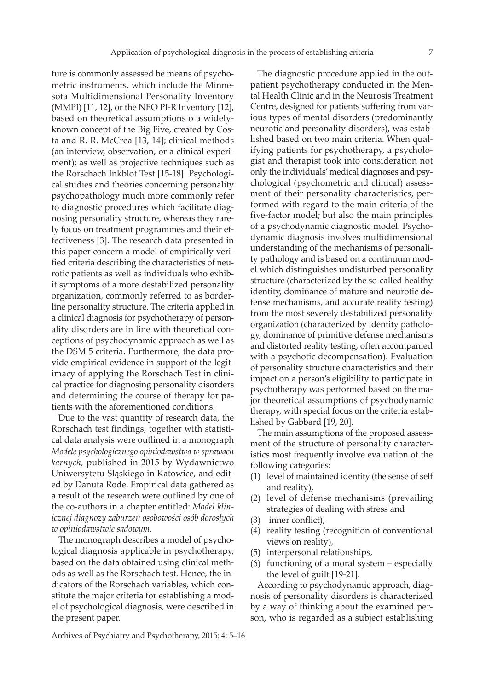ture is commonly assessed be means of psychometric instruments, which include the Minnesota Multidimensional Personality Inventory (MMPI) [11, 12], or the NEO PI-R Inventory [12], based on theoretical assumptions o a widelyknown concept of the Big Five, created by Costa and R. R. McCrea [13, 14]; clinical methods (an interview, observation, or a clinical experiment); as well as projective techniques such as the Rorschach Inkblot Test [15-18]. Psychological studies and theories concerning personality psychopathology much more commonly refer to diagnostic procedures which facilitate diagnosing personality structure, whereas they rarely focus on treatment programmes and their effectiveness [3]. The research data presented in this paper concern a model of empirically verified criteria describing the characteristics of neurotic patients as well as individuals who exhibit symptoms of a more destabilized personality organization, commonly referred to as borderline personality structure. The criteria applied in a clinical diagnosis for psychotherapy of personality disorders are in line with theoretical conceptions of psychodynamic approach as well as the DSM 5 criteria. Furthermore, the data provide empirical evidence in support of the legitimacy of applying the Rorschach Test in clinical practice for diagnosing personality disorders and determining the course of therapy for patients with the aforementioned conditions.

Due to the vast quantity of research data, the Rorschach test findings, together with statistical data analysis were outlined in a monograph *Modele psychologicznego opiniodawstwa w sprawach karnych,* published in 2015 by Wydawnictwo Uniwersytetu Śląskiego in Katowice, and edited by Danuta Rode. Empirical data gathered as a result of the research were outlined by one of the co-authors in a chapter entitled: *Model klinicznej diagnozy zaburzeń osobowości osób dorosłych w opiniodawstwie sądowym.*

The monograph describes a model of psychological diagnosis applicable in psychotherapy, based on the data obtained using clinical methods as well as the Rorschach test. Hence, the indicators of the Rorschach variables, which constitute the major criteria for establishing a model of psychological diagnosis, were described in the present paper.

The diagnostic procedure applied in the outpatient psychotherapy conducted in the Mental Health Clinic and in the Neurosis Treatment Centre, designed for patients suffering from various types of mental disorders (predominantly neurotic and personality disorders), was established based on two main criteria. When qualifying patients for psychotherapy, a psychologist and therapist took into consideration not only the individuals' medical diagnoses and psychological (psychometric and clinical) assessment of their personality characteristics, performed with regard to the main criteria of the five-factor model; but also the main principles of a psychodynamic diagnostic model. Psychodynamic diagnosis involves multidimensional understanding of the mechanisms of personality pathology and is based on a continuum model which distinguishes undisturbed personality structure (characterized by the so-called healthy identity, dominance of mature and neurotic defense mechanisms, and accurate reality testing) from the most severely destabilized personality organization (characterized by identity pathology, dominance of primitive defense mechanisms and distorted reality testing, often accompanied with a psychotic decompensation). Evaluation of personality structure characteristics and their impact on a person's eligibility to participate in psychotherapy was performed based on the major theoretical assumptions of psychodynamic therapy, with special focus on the criteria established by Gabbard [19, 20].

The main assumptions of the proposed assessment of the structure of personality characteristics most frequently involve evaluation of the following categories:

- (1) level of maintained identity (the sense of self and reality),
- (2) level of defense mechanisms (prevailing strategies of dealing with stress and
- (3) inner conflict),
- (4) reality testing (recognition of conventional views on reality),
- (5) interpersonal relationships,
- (6) functioning of a moral system  $-$  especially the level of guilt [19-21].

According to psychodynamic approach, diagnosis of personality disorders is characterized by a way of thinking about the examined person, who is regarded as a subject establishing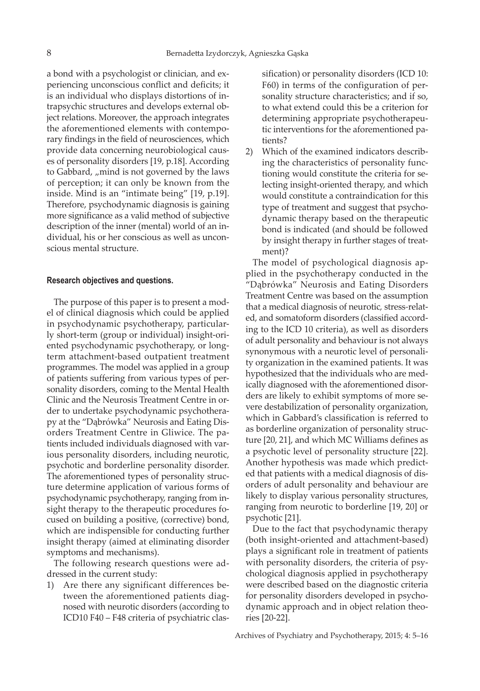a bond with a psychologist or clinician, and experiencing unconscious conflict and deficits; it is an individual who displays distortions of intrapsychic structures and develops external object relations. Moreover, the approach integrates the aforementioned elements with contemporary findings in the field of neurosciences, which provide data concerning neurobiological causes of personality disorders [19, p.18]. According to Gabbard, "mind is not governed by the laws of perception; it can only be known from the inside. Mind is an "intimate being" [19, p.19]. Therefore, psychodynamic diagnosis is gaining more significance as a valid method of subjective description of the inner (mental) world of an individual, his or her conscious as well as unconscious mental structure.

#### **Research objectives and questions.**

The purpose of this paper is to present a model of clinical diagnosis which could be applied in psychodynamic psychotherapy, particularly short-term (group or individual) insight-oriented psychodynamic psychotherapy, or longterm attachment-based outpatient treatment programmes. The model was applied in a group of patients suffering from various types of personality disorders, coming to the Mental Health Clinic and the Neurosis Treatment Centre in order to undertake psychodynamic psychotherapy at the "Dąbrówka" Neurosis and Eating Disorders Treatment Centre in Gliwice. The patients included individuals diagnosed with various personality disorders, including neurotic, psychotic and borderline personality disorder. The aforementioned types of personality structure determine application of various forms of psychodynamic psychotherapy, ranging from insight therapy to the therapeutic procedures focused on building a positive, (corrective) bond, which are indispensible for conducting further insight therapy (aimed at eliminating disorder symptoms and mechanisms).

The following research questions were addressed in the current study:

1) Are there any significant differences between the aforementioned patients diagnosed with neurotic disorders (according to ICD10 F40 – F48 criteria of psychiatric classification) or personality disorders (ICD 10: F60) in terms of the configuration of personality structure characteristics; and if so, to what extend could this be a criterion for determining appropriate psychotherapeutic interventions for the aforementioned patients?

2) Which of the examined indicators describing the characteristics of personality functioning would constitute the criteria for selecting insight-oriented therapy, and which would constitute a contraindication for this type of treatment and suggest that psychodynamic therapy based on the therapeutic bond is indicated (and should be followed by insight therapy in further stages of treatment)?

The model of psychological diagnosis applied in the psychotherapy conducted in the "Dąbrówka" Neurosis and Eating Disorders Treatment Centre was based on the assumption that a medical diagnosis of neurotic*,* stress*-*related, and somatoform disorders (classified according to the ICD 10 criteria), as well as disorders of adult personality and behaviour is not always synonymous with a neurotic level of personality organization in the examined patients. It was hypothesized that the individuals who are medically diagnosed with the aforementioned disorders are likely to exhibit symptoms of more severe destabilization of personality organization, which in Gabbard's classification is referred to as borderline organization of personality structure [20, 21], and which MC Williams defines as a psychotic level of personality structure [22]. Another hypothesis was made which predicted that patients with a medical diagnosis of disorders of adult personality and behaviour are likely to display various personality structures, ranging from neurotic to borderline [19, 20] or psychotic [21].

Due to the fact that psychodynamic therapy (both insight-oriented and attachment-based) plays a significant role in treatment of patients with personality disorders, the criteria of psychological diagnosis applied in psychotherapy were described based on the diagnostic criteria for personality disorders developed in psychodynamic approach and in object relation theories [20-22].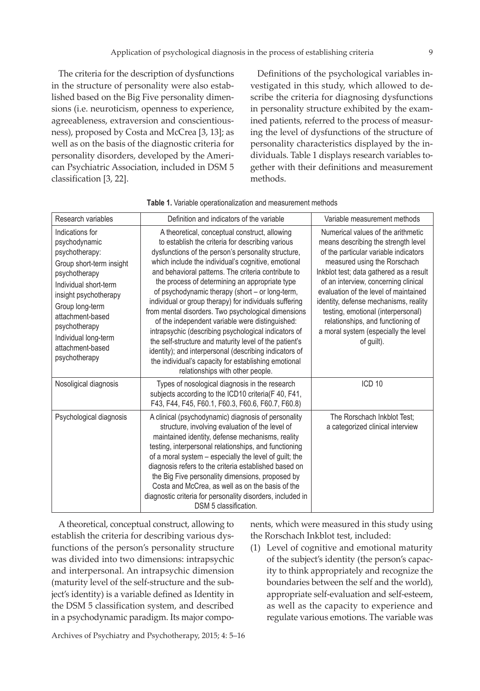The criteria for the description of dysfunctions in the structure of personality were also established based on the Big Five personality dimensions (i.e. neuroticism, openness to experience, agreeableness, extraversion and conscientiousness), proposed by Costa and McCrea [3, 13]; as well as on the basis of the diagnostic criteria for personality disorders, developed by the American Psychiatric Association, included in DSM 5 classification [3, 22].

Definitions of the psychological variables investigated in this study, which allowed to describe the criteria for diagnosing dysfunctions in personality structure exhibited by the examined patients, referred to the process of measuring the level of dysfunctions of the structure of personality characteristics displayed by the individuals. Table 1 displays research variables together with their definitions and measurement methods.

| Research variables                                                                                                                                                                                                                                                     | Definition and indicators of the variable                                                                                                                                                                                                                                                                                                                                                                                                                                                                                                                                                                                                                                                                                                                                                                               | Variable measurement methods                                                                                                                                                                                                                                                                                                                                                                                                                             |
|------------------------------------------------------------------------------------------------------------------------------------------------------------------------------------------------------------------------------------------------------------------------|-------------------------------------------------------------------------------------------------------------------------------------------------------------------------------------------------------------------------------------------------------------------------------------------------------------------------------------------------------------------------------------------------------------------------------------------------------------------------------------------------------------------------------------------------------------------------------------------------------------------------------------------------------------------------------------------------------------------------------------------------------------------------------------------------------------------------|----------------------------------------------------------------------------------------------------------------------------------------------------------------------------------------------------------------------------------------------------------------------------------------------------------------------------------------------------------------------------------------------------------------------------------------------------------|
| Indications for<br>psychodynamic<br>psychotherapy:<br>Group short-term insight<br>psychotherapy<br>Individual short-term<br>insight psychotherapy<br>Group long-term<br>attachment-based<br>psychotherapy<br>Individual long-term<br>attachment-based<br>psychotherapy | A theoretical, conceptual construct, allowing<br>to establish the criteria for describing various<br>dysfunctions of the person's personality structure,<br>which include the individual's cognitive, emotional<br>and behavioral patterns. The criteria contribute to<br>the process of determining an appropriate type<br>of psychodynamic therapy (short - or long-term,<br>individual or group therapy) for individuals suffering<br>from mental disorders. Two psychological dimensions<br>of the independent variable were distinguished:<br>intrapsychic (describing psychological indicators of<br>the self-structure and maturity level of the patient's<br>identity); and interpersonal (describing indicators of<br>the individual's capacity for establishing emotional<br>relationships with other people. | Numerical values of the arithmetic<br>means describing the strength level<br>of the particular variable indicators<br>measured using the Rorschach<br>Inkblot test; data gathered as a result<br>of an interview, concerning clinical<br>evaluation of the level of maintained<br>identity, defense mechanisms, reality<br>testing, emotional (interpersonal)<br>relationships, and functioning of<br>a moral system (especially the level<br>of guilt). |
| Nosoligical diagnosis                                                                                                                                                                                                                                                  | Types of nosological diagnosis in the research<br>subjects according to the ICD10 criteria(F 40, F41,<br>F43, F44, F45, F60.1, F60.3, F60.6, F60.7, F60.8)                                                                                                                                                                                                                                                                                                                                                                                                                                                                                                                                                                                                                                                              | ICD <sub>10</sub>                                                                                                                                                                                                                                                                                                                                                                                                                                        |
| Psychological diagnosis                                                                                                                                                                                                                                                | A clinical (psychodynamic) diagnosis of personality<br>structure, involving evaluation of the level of<br>maintained identity, defense mechanisms, reality<br>testing, interpersonal relationships, and functioning<br>of a moral system - especially the level of guilt; the<br>diagnosis refers to the criteria established based on<br>the Big Five personality dimensions, proposed by<br>Costa and McCrea, as well as on the basis of the<br>diagnostic criteria for personality disorders, included in<br>DSM 5 classification.                                                                                                                                                                                                                                                                                   | The Rorschach Inkblot Test;<br>a categorized clinical interview                                                                                                                                                                                                                                                                                                                                                                                          |

|  |  |  |  |  | Table 1. Variable operationalization and measurement methods |  |
|--|--|--|--|--|--------------------------------------------------------------|--|
|--|--|--|--|--|--------------------------------------------------------------|--|

A theoretical, conceptual construct, allowing to establish the criteria for describing various dysfunctions of the person's personality structure was divided into two dimensions: intrapsychic and interpersonal. An intrapsychic dimension (maturity level of the self-structure and the subject's identity) is a variable defined as Identity in the DSM 5 classification system, and described in a psychodynamic paradigm. Its major compo-

nents, which were measured in this study using the Rorschach Inkblot test, included:

(1) Level of cognitive and emotional maturity of the subject's identity (the person's capacity to think appropriately and recognize the boundaries between the self and the world), appropriate self-evaluation and self-esteem, as well as the capacity to experience and regulate various emotions. The variable was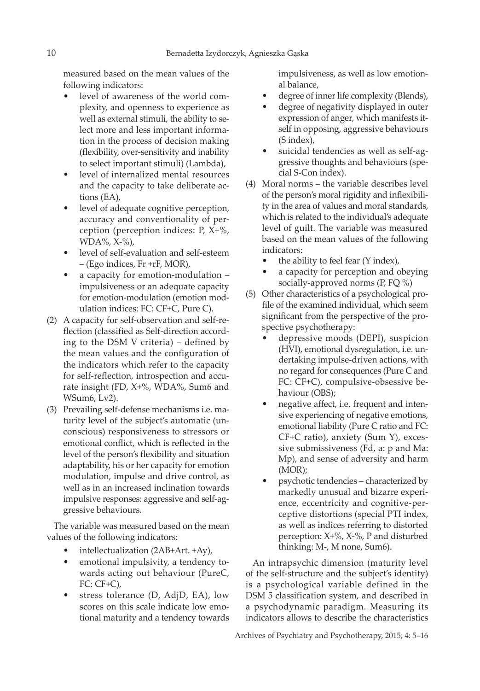measured based on the mean values of the following indicators:

- level of awareness of the world complexity, and openness to experience as well as external stimuli, the ability to select more and less important information in the process of decision making (flexibility, over-sensitivity and inability to select important stimuli) (Lambda),
- level of internalized mental resources and the capacity to take deliberate actions (EA),
- level of adequate cognitive perception, accuracy and conventionality of perception (perception indices: P, X+%, WDA%, X-%),
- level of self-evaluation and self-esteem – (Ego indices, Fr +rF, MOR),
- a capacity for emotion-modulation impulsiveness or an adequate capacity for emotion-modulation (emotion modulation indices: FC: CF+C, Pure C).
- (2) A capacity for self-observation and self-reflection (classified as Self-direction according to the DSM V criteria) – defined by the mean values and the configuration of the indicators which refer to the capacity for self-reflection, introspection and accurate insight (FD, X+%, WDA%, Sum6 and WSum6, Lv2).
- (3) Prevailing self-defense mechanisms i.e. maturity level of the subject's automatic (unconscious) responsiveness to stressors or emotional conflict, which is reflected in the level of the person's flexibility and situation adaptability, his or her capacity for emotion modulation, impulse and drive control, as well as in an increased inclination towards impulsive responses: aggressive and self-aggressive behaviours.

The variable was measured based on the mean values of the following indicators:

- intellectualization (2AB+Art. +Ay),
- emotional impulsivity, a tendency towards acting out behaviour (PureC, FC: CF+C),
- stress tolerance (D, AdjD, EA), low scores on this scale indicate low emotional maturity and a tendency towards

impulsiveness, as well as low emotional balance,

- degree of inner life complexity (Blends),
- degree of negativity displayed in outer expression of anger, which manifests itself in opposing, aggressive behaviours (S index),
- suicidal tendencies as well as self-aggressive thoughts and behaviours (special S-Con index).
- (4) Moral norms the variable describes level of the person's moral rigidity and inflexibility in the area of values and moral standards, which is related to the individual's adequate level of guilt. The variable was measured based on the mean values of the following indicators:
	- the ability to feel fear (Y index),
	- a capacity for perception and obeying socially-approved norms (P, FQ %)
- (5) Other characteristics of a psychological profile of the examined individual, which seem significant from the perspective of the prospective psychotherapy:
	- depressive moods (DEPI), suspicion (HVI), emotional dysregulation, i.e. undertaking impulse-driven actions, with no regard for consequences (Pure C and FC: CF+C), compulsive-obsessive behaviour (OBS);
	- negative affect, i.e. frequent and intensive experiencing of negative emotions, emotional liability (Pure C ratio and FC: CF+C ratio), anxiety (Sum Y), excessive submissiveness (Fd, a: p and Ma: Mp), and sense of adversity and harm (MOR);
	- psychotic tendencies characterized by markedly unusual and bizarre experience, eccentricity and cognitive-perceptive distortions (special PTI index, as well as indices referring to distorted perception: X+%, X-%, P and disturbed thinking: M-, M none, Sum6).

An intrapsychic dimension (maturity level of the self-structure and the subject's identity) is a psychological variable defined in the DSM 5 classification system, and described in a psychodynamic paradigm. Measuring its indicators allows to describe the characteristics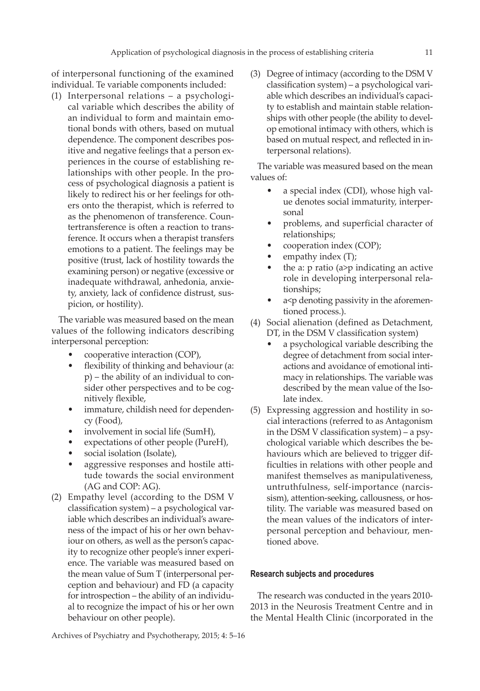of interpersonal functioning of the examined individual. Te variable components included:

(1) Interpersonal relations – a psychological variable which describes the ability of an individual to form and maintain emotional bonds with others, based on mutual dependence. The component describes positive and negative feelings that a person experiences in the course of establishing relationships with other people. In the process of psychological diagnosis a patient is likely to redirect his or her feelings for others onto the therapist, which is referred to as the phenomenon of transference. Countertransference is often a reaction to transference. It occurs when a therapist transfers emotions to a patient. The feelings may be positive (trust, lack of hostility towards the examining person) or negative (excessive or inadequate withdrawal, anhedonia, anxiety, anxiety, lack of confidence distrust, suspicion, or hostility).

The variable was measured based on the mean values of the following indicators describing interpersonal perception:

- cooperative interaction (COP),
- flexibility of thinking and behaviour (a: p) – the ability of an individual to consider other perspectives and to be cognitively flexible,
- immature, childish need for dependency (Food),
- involvement in social life (SumH),
- expectations of other people (PureH),
- social isolation (Isolate),
- aggressive responses and hostile attitude towards the social environment (AG and COP: AG).
- (2) Empathy level (according to the DSM V classification system) – a psychological variable which describes an individual's awareness of the impact of his or her own behaviour on others, as well as the person's capacity to recognize other people's inner experience. The variable was measured based on the mean value of Sum T (interpersonal perception and behaviour) and FD (a capacity for introspection – the ability of an individual to recognize the impact of his or her own behaviour on other people).

(3) Degree of intimacy (according to the DSM V classification system) – a psychological variable which describes an individual's capacity to establish and maintain stable relationships with other people (the ability to develop emotional intimacy with others, which is based on mutual respect, and reflected in interpersonal relations).

The variable was measured based on the mean values of:

- a special index (CDI), whose high value denotes social immaturity, interpersonal
- problems, and superficial character of relationships;
- cooperation index (COP);
- empathy index (T);
- the a:  $p$  ratio (a> $p$  indicating an active role in developing interpersonal relationships;
- a<p denoting passivity in the aforementioned process.).
- (4) Social alienation (defined as Detachment, DT, in the DSM V classification system)
	- a psychological variable describing the degree of detachment from social interactions and avoidance of emotional intimacy in relationships. The variable was described by the mean value of the Isolate index.
- (5) Expressing aggression and hostility in social interactions (referred to as Antagonism in the DSM V classification system) – a psychological variable which describes the behaviours which are believed to trigger difficulties in relations with other people and manifest themselves as manipulativeness, untruthfulness, self-importance (narcissism), attention-seeking, callousness, or hostility. The variable was measured based on the mean values of the indicators of interpersonal perception and behaviour, mentioned above.

#### **Research subjects and procedures**

The research was conducted in the years 2010- 2013 in the Neurosis Treatment Centre and in the Mental Health Clinic (incorporated in the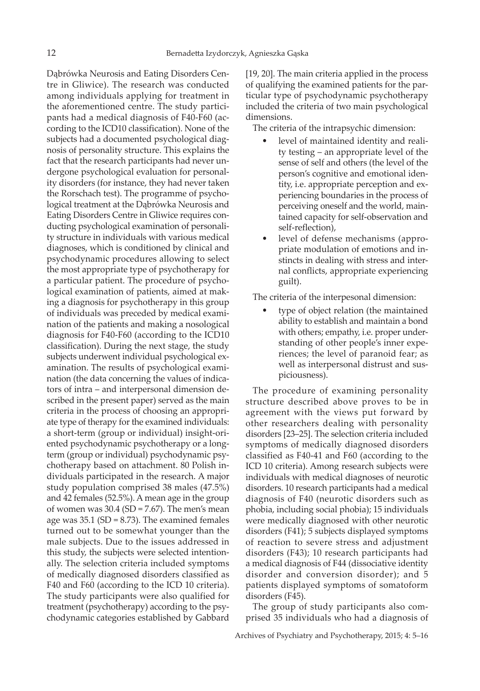Dąbrówka Neurosis and Eating Disorders Centre in Gliwice). The research was conducted among individuals applying for treatment in the aforementioned centre. The study participants had a medical diagnosis of F40-F60 (according to the ICD10 classification). None of the subjects had a documented psychological diagnosis of personality structure. This explains the fact that the research participants had never undergone psychological evaluation for personality disorders (for instance, they had never taken the Rorschach test). The programme of psychological treatment at the Dąbrówka Neurosis and Eating Disorders Centre in Gliwice requires conducting psychological examination of personality structure in individuals with various medical diagnoses, which is conditioned by clinical and psychodynamic procedures allowing to select the most appropriate type of psychotherapy for a particular patient. The procedure of psychological examination of patients, aimed at making a diagnosis for psychotherapy in this group of individuals was preceded by medical examination of the patients and making a nosological diagnosis for F40-F60 (according to the ICD10 classification). During the next stage, the study subjects underwent individual psychological examination. The results of psychological examination (the data concerning the values of indicators of intra – and interpersonal dimension described in the present paper) served as the main criteria in the process of choosing an appropriate type of therapy for the examined individuals: a short-term (group or individual) insight-oriented psychodynamic psychotherapy or a longterm (group or individual) psychodynamic psychotherapy based on attachment. 80 Polish individuals participated in the research. A major study population comprised 38 males (47.5%) and 42 females (52.5%). A mean age in the group of women was  $30.4$  (SD = 7.67). The men's mean age was  $35.1$  (SD = 8.73). The examined females turned out to be somewhat younger than the male subjects. Due to the issues addressed in this study, the subjects were selected intentionally. The selection criteria included symptoms of medically diagnosed disorders classified as F40 and F60 (according to the ICD 10 criteria). The study participants were also qualified for treatment (psychotherapy) according to the psychodynamic categories established by Gabbard [19, 20]. The main criteria applied in the process of qualifying the examined patients for the particular type of psychodynamic psychotherapy included the criteria of two main psychological dimensions.

The criteria of the intrapsychic dimension:

- level of maintained identity and reality testing – an appropriate level of the sense of self and others (the level of the person's cognitive and emotional identity, i.e. appropriate perception and experiencing boundaries in the process of perceiving oneself and the world, maintained capacity for self-observation and self-reflection),
- level of defense mechanisms (appropriate modulation of emotions and instincts in dealing with stress and internal conflicts, appropriate experiencing guilt).

The criteria of the interpesonal dimension:

• type of object relation (the maintained ability to establish and maintain a bond with others; empathy, i.e. proper understanding of other people's inner experiences; the level of paranoid fear; as well as interpersonal distrust and suspiciousness).

The procedure of examining personality structure described above proves to be in agreement with the views put forward by other researchers dealing with personality disorders [23–25]. The selection criteria included symptoms of medically diagnosed disorders classified as F40-41 and F60 (according to the ICD 10 criteria). Among research subjects were individuals with medical diagnoses of neurotic disorders. 10 research participants had a medical diagnosis of F40 (neurotic disorders such as phobia, including social phobia); 15 individuals were medically diagnosed with other neurotic disorders (F41); 5 subjects displayed symptoms of reaction to severe stress and adjustment disorders (F43); 10 research participants had a medical diagnosis of F44 (dissociative identity disorder and conversion disorder); and 5 patients displayed symptoms of somatoform disorders (F45).

The group of study participants also comprised 35 individuals who had a diagnosis of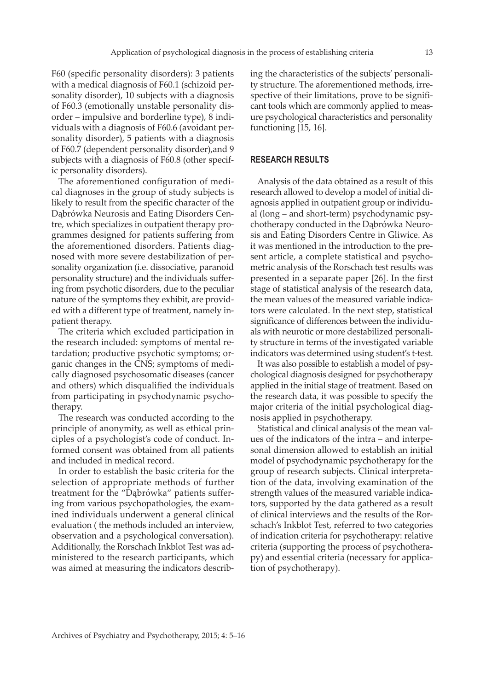F60 (specific personality disorders): 3 patients with a medical diagnosis of F60.1 (schizoid personality disorder), 10 subjects with a diagnosis of F60.3 (emotionally unstable personality disorder – impulsive and borderline type), 8 individuals with a diagnosis of F60.6 (avoidant personality disorder), 5 patients with a diagnosis of F60.7 (dependent personality disorder),and 9 subjects with a diagnosis of F60.8 (other specific personality disorders).

The aforementioned configuration of medical diagnoses in the group of study subjects is likely to result from the specific character of the Dąbrówka Neurosis and Eating Disorders Centre, which specializes in outpatient therapy programmes designed for patients suffering from the aforementioned disorders. Patients diagnosed with more severe destabilization of personality organization (i.e. dissociative, paranoid personality structure) and the individuals suffering from psychotic disorders, due to the peculiar nature of the symptoms they exhibit, are provided with a different type of treatment, namely inpatient therapy.

The criteria which excluded participation in the research included: symptoms of mental retardation; productive psychotic symptoms; organic changes in the CNS; symptoms of medically diagnosed psychosomatic diseases (cancer and others) which disqualified the individuals from participating in psychodynamic psychotherapy.

The research was conducted according to the principle of anonymity, as well as ethical principles of a psychologist's code of conduct. Informed consent was obtained from all patients and included in medical record.

In order to establish the basic criteria for the selection of appropriate methods of further treatment for the "Dąbrówka" patients suffering from various psychopathologies, the examined individuals underwent a general clinical evaluation ( the methods included an interview, observation and a psychological conversation). Additionally, the Rorschach Inkblot Test was administered to the research participants, which was aimed at measuring the indicators describ-

ing the characteristics of the subjects' personality structure. The aforementioned methods, irrespective of their limitations, prove to be significant tools which are commonly applied to measure psychological characteristics and personality functioning [15, 16].

#### **RESEARCH RESULTS**

Analysis of the data obtained as a result of this research allowed to develop a model of initial diagnosis applied in outpatient group or individual (long – and short-term) psychodynamic psychotherapy conducted in the Dąbrówka Neurosis and Eating Disorders Centre in Gliwice. As it was mentioned in the introduction to the present article, a complete statistical and psychometric analysis of the Rorschach test results was presented in a separate paper [26]. In the first stage of statistical analysis of the research data, the mean values of the measured variable indicators were calculated. In the next step, statistical significance of differences between the individuals with neurotic or more destabilized personality structure in terms of the investigated variable indicators was determined using student's t-test.

It was also possible to establish a model of psychological diagnosis designed for psychotherapy applied in the initial stage of treatment. Based on the research data, it was possible to specify the major criteria of the initial psychological diagnosis applied in psychotherapy.

Statistical and clinical analysis of the mean values of the indicators of the intra – and interpesonal dimension allowed to establish an initial model of psychodynamic psychotherapy for the group of research subjects. Clinical interpretation of the data, involving examination of the strength values of the measured variable indicators, supported by the data gathered as a result of clinical interviews and the results of the Rorschach's Inkblot Test, referred to two categories of indication criteria for psychotherapy: relative criteria (supporting the process of psychotherapy) and essential criteria (necessary for application of psychotherapy).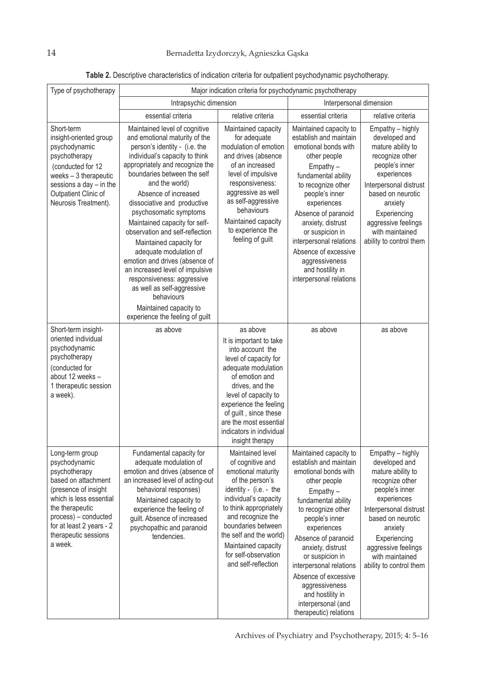| Type of psychotherapy                                                                                                                                                                                                                 | Major indication criteria for psychodynamic psychotherapy                                                                                                                                                                                                                                                                                                                                                                                                                                                                                                                                                                                   |                                                                                                                                                                                                                                                                                                        |                                                                                                                                                                                                                                                                                                                                                                                               |                                                                                                                                                                                                                                                           |  |  |
|---------------------------------------------------------------------------------------------------------------------------------------------------------------------------------------------------------------------------------------|---------------------------------------------------------------------------------------------------------------------------------------------------------------------------------------------------------------------------------------------------------------------------------------------------------------------------------------------------------------------------------------------------------------------------------------------------------------------------------------------------------------------------------------------------------------------------------------------------------------------------------------------|--------------------------------------------------------------------------------------------------------------------------------------------------------------------------------------------------------------------------------------------------------------------------------------------------------|-----------------------------------------------------------------------------------------------------------------------------------------------------------------------------------------------------------------------------------------------------------------------------------------------------------------------------------------------------------------------------------------------|-----------------------------------------------------------------------------------------------------------------------------------------------------------------------------------------------------------------------------------------------------------|--|--|
|                                                                                                                                                                                                                                       | Intrapsychic dimension                                                                                                                                                                                                                                                                                                                                                                                                                                                                                                                                                                                                                      |                                                                                                                                                                                                                                                                                                        | Interpersonal dimension                                                                                                                                                                                                                                                                                                                                                                       |                                                                                                                                                                                                                                                           |  |  |
|                                                                                                                                                                                                                                       | essential criteria                                                                                                                                                                                                                                                                                                                                                                                                                                                                                                                                                                                                                          | relative criteria                                                                                                                                                                                                                                                                                      | essential criteria                                                                                                                                                                                                                                                                                                                                                                            | relative criteria                                                                                                                                                                                                                                         |  |  |
| Short-term<br>insight-oriented group<br>psychodynamic<br>psychotherapy<br>(conducted for 12<br>weeks $-3$ therapeutic<br>sessions a day - in the<br>Outpatient Clinic of<br>Neurosis Treatment).                                      | Maintained level of cognitive<br>and emotional maturity of the<br>person's identity - (i.e. the<br>individual's capacity to think<br>appropriately and recognize the<br>boundaries between the self<br>and the world)<br>Absence of increased<br>dissociative and productive<br>psychosomatic symptoms<br>Maintained capacity for self-<br>observation and self-reflection<br>Maintained capacity for<br>adequate modulation of<br>emotion and drives (absence of<br>an increased level of impulsive<br>responsiveness: aggressive<br>as well as self-aggressive<br>behaviours<br>Maintained capacity to<br>experience the feeling of guilt | Maintained capacity<br>for adequate<br>modulation of emotion<br>and drives (absence<br>of an increased<br>level of impulsive<br>responsiveness:<br>aggressive as well<br>as self-aggressive<br>behaviours<br>Maintained capacity<br>to experience the<br>feeling of guilt                              | Maintained capacity to<br>establish and maintain<br>emotional bonds with<br>other people<br>Empathy-<br>fundamental ability<br>to recognize other<br>people's inner<br>experiences<br>Absence of paranoid<br>anxiety, distrust<br>or suspicion in<br>interpersonal relations<br>Absence of excessive<br>aggressiveness<br>and hostility in<br>interpersonal relations                         | Empathy - highly<br>developed and<br>mature ability to<br>recognize other<br>people's inner<br>experiences<br>Interpersonal distrust<br>based on neurotic<br>anxiety<br>Experiencing<br>aggressive feelings<br>with maintained<br>ability to control them |  |  |
| Short-term insight-<br>oriented individual<br>psychodynamic<br>psychotherapy<br>(conducted for<br>about 12 weeks -<br>1 therapeutic session<br>a week).                                                                               | as above                                                                                                                                                                                                                                                                                                                                                                                                                                                                                                                                                                                                                                    | as above<br>It is important to take<br>into account the<br>level of capacity for<br>adequate modulation<br>of emotion and<br>drives, and the<br>level of capacity to<br>experience the feeling<br>of guilt, since these<br>are the most essential<br>indicators in individual<br>insight therapy       | as above                                                                                                                                                                                                                                                                                                                                                                                      | as above                                                                                                                                                                                                                                                  |  |  |
| Long-term group<br>psychodynamic<br>psychotherapy<br>based on attachment<br>(presence of insight<br>which is less essential<br>the therapeutic<br>process) - conducted<br>for at least 2 years - 2<br>therapeutic sessions<br>a week. | Fundamental capacity for<br>adequate modulation of<br>emotion and drives (absence of<br>an increased level of acting-out<br>behavioral responses)<br>Maintained capacity to<br>experience the feeling of<br>guilt. Absence of increased<br>psychopathic and paranoid<br>tendencies.                                                                                                                                                                                                                                                                                                                                                         | Maintained level<br>of cognitive and<br>emotional maturity<br>of the person's<br>identity - (i.e. - the<br>individual's capacity<br>to think appropriately<br>and recognize the<br>boundaries between<br>the self and the world)<br>Maintained capacity<br>for self-observation<br>and self-reflection | Maintained capacity to<br>establish and maintain<br>emotional bonds with<br>other people<br>$Empathy -$<br>fundamental ability<br>to recognize other<br>people's inner<br>experiences<br>Absence of paranoid<br>anxiety, distrust<br>or suspicion in<br>interpersonal relations<br>Absence of excessive<br>aggressiveness<br>and hostility in<br>interpersonal (and<br>therapeutic) relations | Empathy - highly<br>developed and<br>mature ability to<br>recognize other<br>people's inner<br>experiences<br>Interpersonal distrust<br>based on neurotic<br>anxiety<br>Experiencing<br>aggressive feelings<br>with maintained<br>ability to control them |  |  |

### **Table 2.** Descriptive characteristics of indication criteria for outpatient psychodynamic psychotherapy.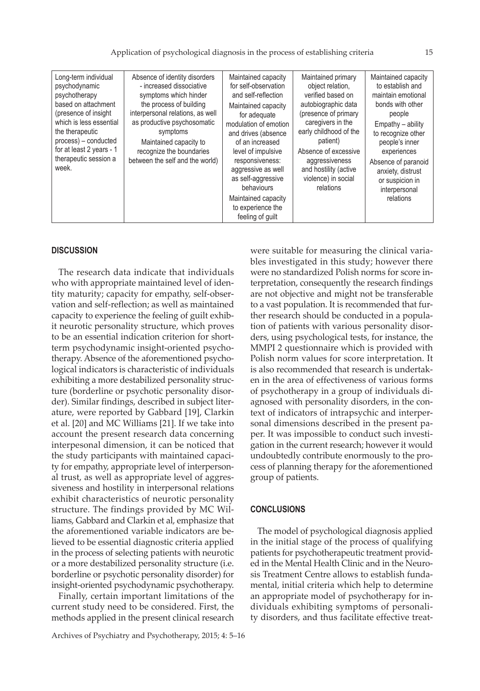#### **DISCUSSION**

The research data indicate that individuals who with appropriate maintained level of identity maturity; capacity for empathy, self-observation and self-reflection; as well as maintained capacity to experience the feeling of guilt exhibit neurotic personality structure, which proves to be an essential indication criterion for shortterm psychodynamic insight-oriented psychotherapy. Absence of the aforementioned psychological indicators is characteristic of individuals exhibiting a more destabilized personality structure (borderline or psychotic personality disorder). Similar findings, described in subject literature, were reported by Gabbard [19], Clarkin et al. [20] and MC Williams [21]. If we take into account the present research data concerning interpesonal dimension, it can be noticed that the study participants with maintained capacity for empathy, appropriate level of interpersonal trust, as well as appropriate level of aggressiveness and hostility in interpersonal relations exhibit characteristics of neurotic personality structure. The findings provided by MC Williams, Gabbard and Clarkin et al, emphasize that the aforementioned variable indicators are believed to be essential diagnostic criteria applied in the process of selecting patients with neurotic or a more destabilized personality structure (i.e. borderline or psychotic personality disorder) for insight-oriented psychodynamic psychotherapy.

Finally, certain important limitations of the current study need to be considered. First, the methods applied in the present clinical research

Archives of Psychiatry and Psychotherapy, 2015; 4: 5–16

were suitable for measuring the clinical variables investigated in this study; however there were no standardized Polish norms for score interpretation, consequently the research findings are not objective and might not be transferable to a vast population. It is recommended that further research should be conducted in a population of patients with various personality disorders, using psychological tests, for instance, the MMPI 2 questionnaire which is provided with Polish norm values for score interpretation. It is also recommended that research is undertaken in the area of effectiveness of various forms of psychotherapy in a group of individuals diagnosed with personality disorders, in the context of indicators of intrapsychic and interpersonal dimensions described in the present paper. It was impossible to conduct such investigation in the current research; however it would undoubtedly contribute enormously to the process of planning therapy for the aforementioned group of patients.

#### **CONCLUSIONS**

The model of psychological diagnosis applied in the initial stage of the process of qualifying patients for psychotherapeutic treatment provided in the Mental Health Clinic and in the Neurosis Treatment Centre allows to establish fundamental, initial criteria which help to determine an appropriate model of psychotherapy for individuals exhibiting symptoms of personality disorders, and thus facilitate effective treat